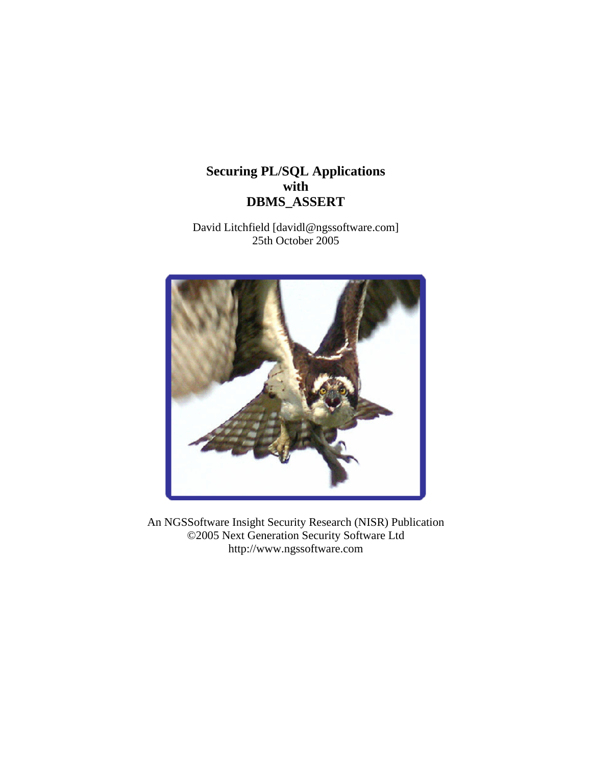# **Securing PL/SQL Applications with DBMS\_ASSERT**

David Litchfield [davidl@ngssoftware.com] 25th October 2005



An NGSSoftware Insight Security Research (NISR) Publication ©2005 Next Generation Security Software Ltd http://www.ngssoftware.com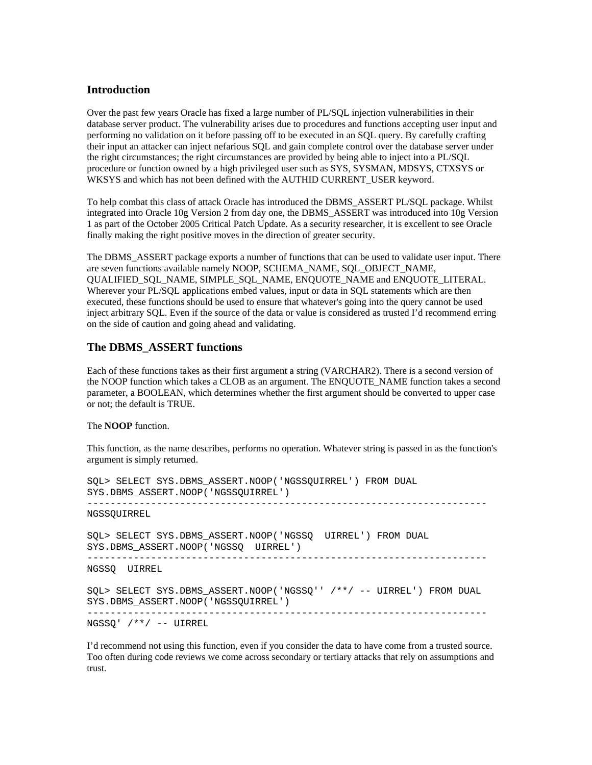## **Introduction**

Over the past few years Oracle has fixed a large number of PL/SQL injection vulnerabilities in their database server product. The vulnerability arises due to procedures and functions accepting user input and performing no validation on it before passing off to be executed in an SQL query. By carefully crafting their input an attacker can inject nefarious SQL and gain complete control over the database server under the right circumstances; the right circumstances are provided by being able to inject into a PL/SQL procedure or function owned by a high privileged user such as SYS, SYSMAN, MDSYS, CTXSYS or WKSYS and which has not been defined with the AUTHID CURRENT\_USER keyword.

To help combat this class of attack Oracle has introduced the DBMS\_ASSERT PL/SQL package. Whilst integrated into Oracle 10g Version 2 from day one, the DBMS\_ASSERT was introduced into 10g Version 1 as part of the October 2005 Critical Patch Update. As a security researcher, it is excellent to see Oracle finally making the right positive moves in the direction of greater security.

The DBMS\_ASSERT package exports a number of functions that can be used to validate user input. There are seven functions available namely NOOP, SCHEMA\_NAME, SQL\_OBJECT\_NAME, QUALIFIED\_SQL\_NAME, SIMPLE\_SQL\_NAME, ENQUOTE\_NAME and ENQUOTE\_LITERAL. Wherever your PL/SQL applications embed values, input or data in SQL statements which are then executed, these functions should be used to ensure that whatever's going into the query cannot be used inject arbitrary SQL. Even if the source of the data or value is considered as trusted I'd recommend erring on the side of caution and going ahead and validating.

### **The DBMS\_ASSERT functions**

Each of these functions takes as their first argument a string (VARCHAR2). There is a second version of the NOOP function which takes a CLOB as an argument. The ENQUOTE\_NAME function takes a second parameter, a BOOLEAN, which determines whether the first argument should be converted to upper case or not; the default is TRUE.

The **NOOP** function.

This function, as the name describes, performs no operation. Whatever string is passed in as the function's argument is simply returned.

SQL> SELECT SYS.DBMS\_ASSERT.NOOP('NGSSQUIRREL') FROM DUAL SYS.DBMS\_ASSERT.NOOP('NGSSQUIRREL') --------------------------------------------------------------------- NGSSQUIRREL SQL> SELECT SYS.DBMS\_ASSERT.NOOP('NGSSQ UIRREL') FROM DUAL SYS.DBMS\_ASSERT.NOOP('NGSSQ UIRREL') --------------------------------------------------------------------- NGSSQ UIRREL SQL> SELECT SYS.DBMS\_ASSERT.NOOP('NGSSQ'' /\*\*/ -- UIRREL') FROM DUAL SYS.DBMS\_ASSERT.NOOP('NGSSQUIRREL') ---------------------------------------------------------------------

NGSSQ' /\*\*/ -- UIRREL

I'd recommend not using this function, even if you consider the data to have come from a trusted source. Too often during code reviews we come across secondary or tertiary attacks that rely on assumptions and trust.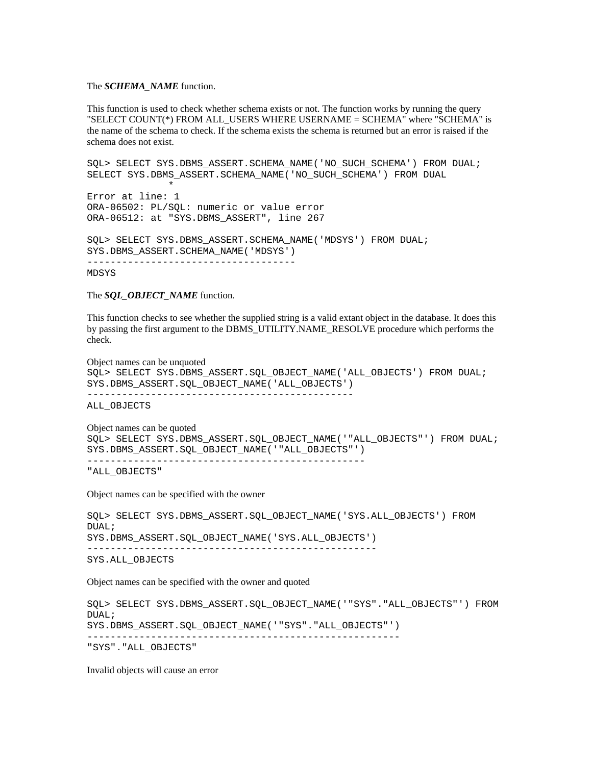#### The *SCHEMA\_NAME* function.

This function is used to check whether schema exists or not. The function works by running the query "SELECT COUNT(\*) FROM ALL\_USERS WHERE USERNAME = SCHEMA" where "SCHEMA" is the name of the schema to check. If the schema exists the schema is returned but an error is raised if the schema does not exist.

```
SQL> SELECT SYS.DBMS ASSERT.SCHEMA NAME('NO SUCH SCHEMA') FROM DUAL;
SELECT SYS.DBMS_ASSERT.SCHEMA_NAME('NO_SUCH_SCHEMA') FROM DUAL 
\starError at line: 1 
ORA-06502: PL/SQL: numeric or value error 
ORA-06512: at "SYS.DBMS_ASSERT", line 267 
SQL> SELECT SYS.DBMS_ASSERT.SCHEMA_NAME('MDSYS') FROM DUAL; 
SYS.DBMS_ASSERT.SCHEMA_NAME('MDSYS') 
------------------------------------
```
MDSYS

The *SOL* OBJECT NAME function.

This function checks to see whether the supplied string is a valid extant object in the database. It does this by passing the first argument to the DBMS\_UTILITY.NAME\_RESOLVE procedure which performs the check.

Object names can be unquoted

```
SQL> SELECT SYS.DBMS_ASSERT.SQL_OBJECT_NAME('ALL_OBJECTS') FROM DUAL; 
SYS.DBMS_ASSERT.SQL_OBJECT_NAME('ALL_OBJECTS')
----------------------------------------------
```
ALL\_OBJECTS

```
Object names can be quoted 
SQL> SELECT SYS.DBMS ASSERT.SQL OBJECT NAME('"ALL OBJECTS"') FROM DUAL;
SYS.DBMS_ASSERT.SQL_OBJECT_NAME('"ALL_OBJECTS"') 
------------------------------------------------ 
"ALL OBJECTS"
```
Object names can be specified with the owner

```
SQL> SELECT SYS.DBMS_ASSERT.SQL_OBJECT_NAME('SYS.ALL_OBJECTS') FROM 
DUAL; 
SYS.DBMS_ASSERT.SQL_OBJECT_NAME('SYS.ALL_OBJECTS') 
--------------------------------------------------
```
SYS.ALL\_OBJECTS

Object names can be specified with the owner and quoted

```
SQL> SELECT SYS.DBMS_ASSERT.SQL_OBJECT_NAME('"SYS"."ALL_OBJECTS"') FROM 
DUAL; 
SYS.DBMS_ASSERT.SQL_OBJECT_NAME('"SYS"."ALL_OBJECTS"') 
------------------------------------------------------ 
"SYS"."ALL_OBJECTS"
```
Invalid objects will cause an error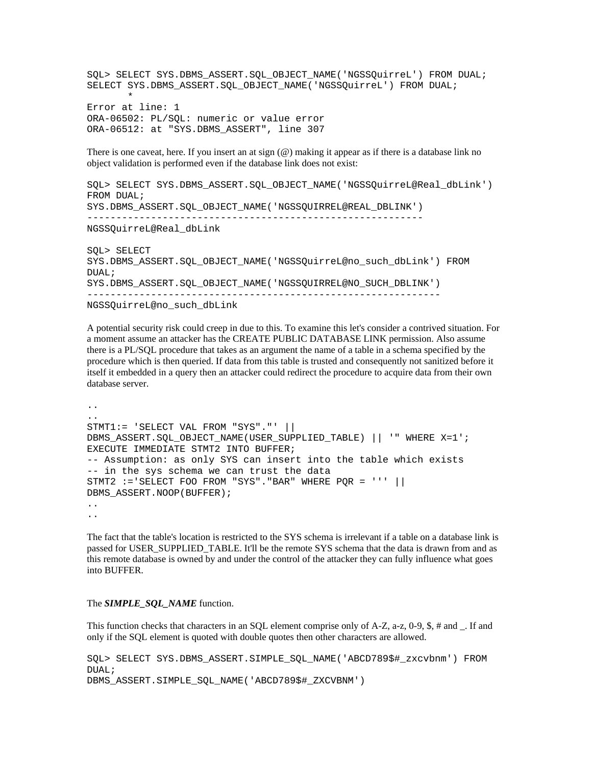SQL> SELECT SYS.DBMS\_ASSERT.SQL\_OBJECT\_NAME('NGSSQuirreL') FROM DUAL; SELECT SYS.DBMS\_ASSERT.SQL\_OBJECT\_NAME('NGSSQuirreL') FROM DUAL;  $\star$ Error at line: 1 ORA-06502: PL/SQL: numeric or value error ORA-06512: at "SYS.DBMS\_ASSERT", line 307

There is one caveat, here. If you insert an at sign (@) making it appear as if there is a database link no object validation is performed even if the database link does not exist:

SQL> SELECT SYS.DBMS\_ASSERT.SQL\_OBJECT\_NAME('NGSSQuirreL@Real\_dbLink') FROM DUAL; SYS.DBMS\_ASSERT.SQL\_OBJECT\_NAME('NGSSQUIRREL@REAL\_DBLINK') ---------------------------------------------------------- NGSSQuirreL@Real\_dbLink SQL> SELECT SYS.DBMS\_ASSERT.SQL\_OBJECT\_NAME('NGSSQuirreL@no\_such\_dbLink') FROM DUAL; SYS.DBMS\_ASSERT.SQL\_OBJECT\_NAME('NGSSQUIRREL@NO\_SUCH\_DBLINK') -------------------------------------------------------------

```
NGSSQuirreL@no_such_dbLink
```
A potential security risk could creep in due to this. To examine this let's consider a contrived situation. For a moment assume an attacker has the CREATE PUBLIC DATABASE LINK permission. Also assume there is a PL/SQL procedure that takes as an argument the name of a table in a schema specified by the procedure which is then queried. If data from this table is trusted and consequently not sanitized before it itself it embedded in a query then an attacker could redirect the procedure to acquire data from their own database server.

.. .. STMT1:= 'SELECT VAL FROM "SYS"."' || DBMS\_ASSERT.SQL\_OBJECT\_NAME(USER\_SUPPLIED\_TABLE) || '" WHERE X=1'; EXECUTE IMMEDIATE STMT2 INTO BUFFER; -- Assumption: as only SYS can insert into the table which exists -- in the sys schema we can trust the data STMT2  $:=$  SELECT FOO FROM "SYS". "BAR" WHERE POR = ''' || DBMS\_ASSERT.NOOP(BUFFER); .. ..

The fact that the table's location is restricted to the SYS schema is irrelevant if a table on a database link is passed for USER\_SUPPLIED\_TABLE. It'll be the remote SYS schema that the data is drawn from and as this remote database is owned by and under the control of the attacker they can fully influence what goes into BUFFER.

#### The *SIMPLE\_SQL\_NAME* function.

This function checks that characters in an SQL element comprise only of A-Z, a-z, 0-9, \$, # and \_. If and only if the SQL element is quoted with double quotes then other characters are allowed.

SQL> SELECT SYS.DBMS\_ASSERT.SIMPLE\_SQL\_NAME('ABCD789\$#\_zxcvbnm') FROM DUAL; DBMS\_ASSERT.SIMPLE\_SQL\_NAME('ABCD789\$#\_ZXCVBNM')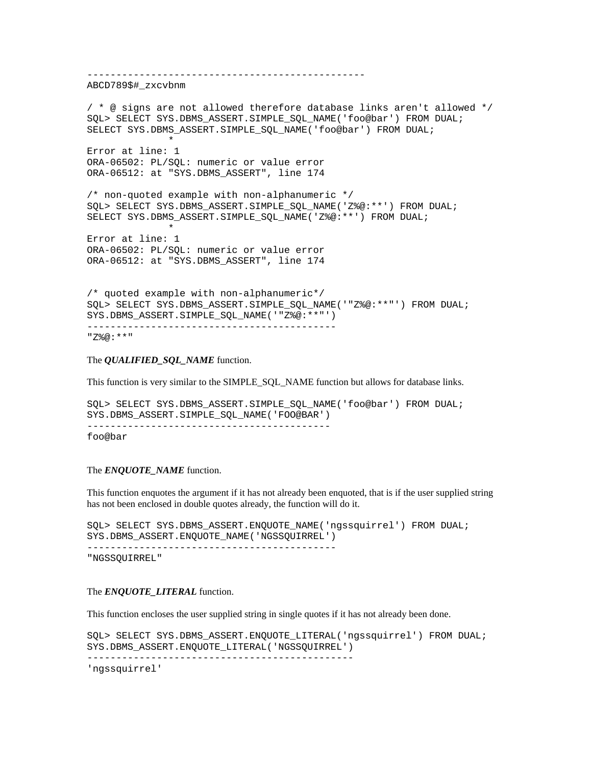------------------------------------------------ ABCD789\$#\_zxcvbnm / \* @ signs are not allowed therefore database links aren't allowed \*/ SQL> SELECT SYS.DBMS ASSERT.SIMPLE SQL NAME('foo@bar') FROM DUAL; SELECT SYS.DBMS ASSERT.SIMPLE SQL NAME('foo@bar') FROM DUAL;  $\star$ Error at line: 1 ORA-06502: PL/SQL: numeric or value error ORA-06512: at "SYS.DBMS\_ASSERT", line 174 /\* non-quoted example with non-alphanumeric \*/ SQL> SELECT SYS.DBMS ASSERT.SIMPLE SQL NAME('Z%@:\*\*') FROM DUAL; SELECT SYS.DBMS\_ASSERT.SIMPLE\_SQL\_NAME('Z%@:\*\*') FROM DUAL;  $\star$ Error at line: 1 ORA-06502: PL/SQL: numeric or value error ORA-06512: at "SYS.DBMS\_ASSERT", line 174 /\* quoted example with non-alphanumeric\*/ SQL> SELECT SYS.DBMS ASSERT.SIMPLE SQL NAME('"Z%@:\*\*"') FROM DUAL; SYS.DBMS ASSERT.SIMPLE SQL NAME('"Z%@:\*\*"') ------------------------------------------- "Z%@:\*\*"

The *QUALIFIED\_SQL\_NAME* function.

This function is very similar to the SIMPLE\_SQL\_NAME function but allows for database links.

SQL> SELECT SYS.DBMS\_ASSERT.SIMPLE\_SQL\_NAME('foo@bar') FROM DUAL; SYS.DBMS\_ASSERT.SIMPLE\_SQL\_NAME('FOO@BAR') ----------------------------------------- foo@bar

#### The *ENQUOTE\_NAME* function.

This function enquotes the argument if it has not already been enquoted, that is if the user supplied string has not been enclosed in double quotes already, the function will do it.

SQL> SELECT SYS.DBMS\_ASSERT.ENQUOTE\_NAME('ngssquirrel') FROM DUAL; SYS.DBMS\_ASSERT.ENQUOTE\_NAME('NGSSQUIRREL') -------------------------------------------

"NGSSQUIRREL"

#### The *ENQUOTE\_LITERAL* function.

This function encloses the user supplied string in single quotes if it has not already been done.

SQL> SELECT SYS.DBMS\_ASSERT.ENQUOTE\_LITERAL('ngssquirrel') FROM DUAL; SYS.DBMS\_ASSERT.ENQUOTE\_LITERAL('NGSSQUIRREL') ----------------------------------------------

'ngssquirrel'